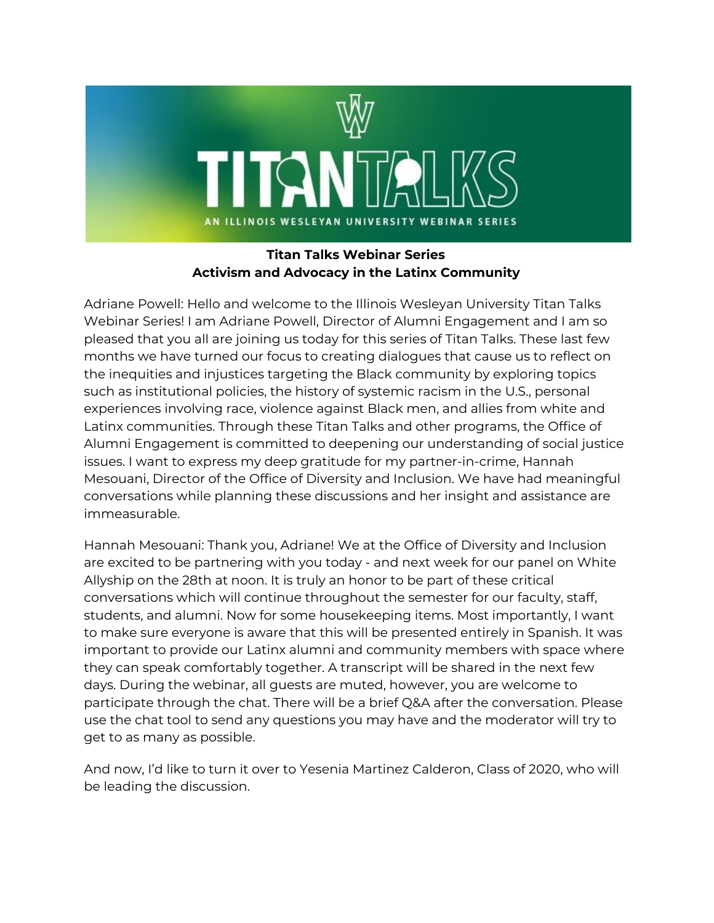

## **Titan Talks Webinar Series Activism and Advocacy in the Latinx Community**

Adriane Powell: Hello and welcome to the Illinois Wesleyan University Titan Talks Webinar Series! I am Adriane Powell, Director of Alumni Engagement and I am so pleased that you all are joining us today for this series of Titan Talks. These last few months we have turned our focus to creating dialogues that cause us to reflect on the inequities and injustices targeting the Black community by exploring topics such as institutional policies, the history of systemic racism in the U.S., personal experiences involving race, violence against Black men, and allies from white and Latinx communities. Through these Titan Talks and other programs, the Office of Alumni Engagement is committed to deepening our understanding of social justice issues. I want to express my deep gratitude for my partner-in-crime, Hannah Mesouani, Director of the Office of Diversity and Inclusion. We have had meaningful conversations while planning these discussions and her insight and assistance are immeasurable.

Hannah Mesouani: Thank you, Adriane! We at the Office of Diversity and Inclusion are excited to be partnering with you today - and next week for our panel on White Allyship on the 28th at noon. It is truly an honor to be part of these critical conversations which will continue throughout the semester for our faculty, staff, students, and alumni. Now for some housekeeping items. Most importantly, I want to make sure everyone is aware that this will be presented entirely in Spanish. It was important to provide our Latinx alumni and community members with space where they can speak comfortably together. A transcript will be shared in the next few days. During the webinar, all guests are muted, however, you are welcome to participate through the chat. There will be a brief Q&A after the conversation. Please use the chat tool to send any questions you may have and the moderator will try to get to as many as possible.

And now, I'd like to turn it over to Yesenia Martinez Calderon, Class of 2020, who will be leading the discussion.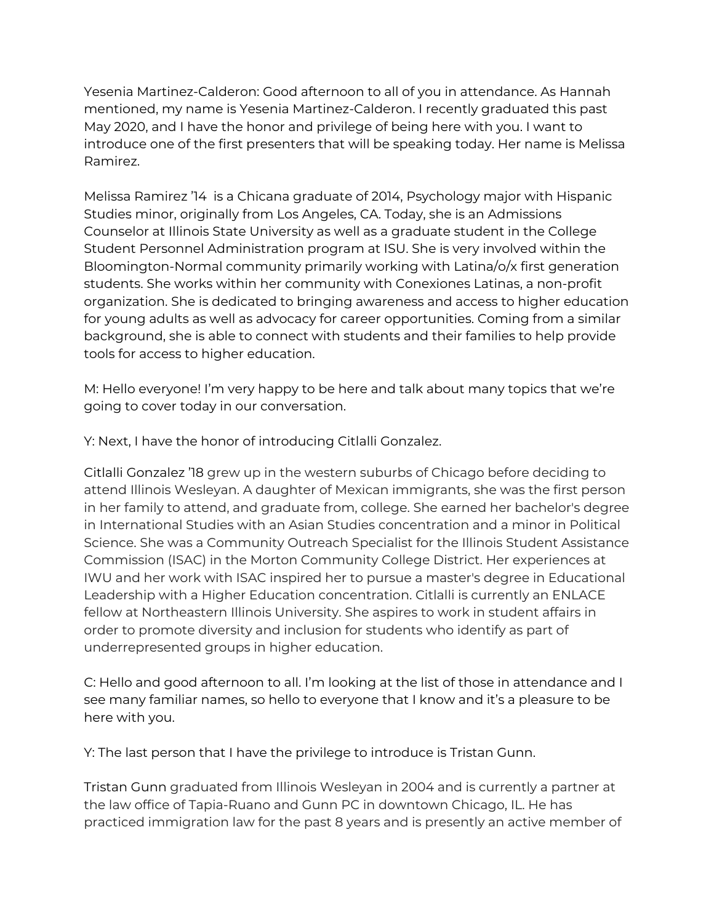Yesenia Martinez-Calderon: Good afternoon to all of you in attendance. As Hannah mentioned, my name is Yesenia Martinez-Calderon. I recently graduated this past May 2020, and I have the honor and privilege of being here with you. I want to introduce one of the first presenters that will be speaking today. Her name is Melissa Ramirez.

Melissa Ramirez '14 is a Chicana graduate of 2014, Psychology major with Hispanic Studies minor, originally from Los Angeles, CA. Today, she is an Admissions Counselor at Illinois State University as well as a graduate student in the College Student Personnel Administration program at ISU. She is very involved within the Bloomington-Normal community primarily working with Latina/o/x first generation students. She works within her community with Conexiones Latinas, a non-profit organization. She is dedicated to bringing awareness and access to higher education for young adults as well as advocacy for career opportunities. Coming from a similar background, she is able to connect with students and their families to help provide tools for access to higher education.

M: Hello everyone! I'm very happy to be here and talk about many topics that we're going to cover today in our conversation.

Y: Next, I have the honor of introducing Citlalli Gonzalez.

Citlalli Gonzalez '18 grew up in the western suburbs of Chicago before deciding to attend Illinois Wesleyan. A daughter of Mexican immigrants, she was the first person in her family to attend, and graduate from, college. She earned her bachelor's degree in International Studies with an Asian Studies concentration and a minor in Political Science. She was a Community Outreach Specialist for the Illinois Student Assistance Commission (ISAC) in the Morton Community College District. Her experiences at IWU and her work with ISAC inspired her to pursue a master's degree in Educational Leadership with a Higher Education concentration. Citlalli is currently an ENLACE fellow at Northeastern Illinois University. She aspires to work in student affairs in order to promote diversity and inclusion for students who identify as part of underrepresented groups in higher education.

C: Hello and good afternoon to all. I'm looking at the list of those in attendance and I see many familiar names, so hello to everyone that I know and it's a pleasure to be here with you.

Y: The last person that I have the privilege to introduce is Tristan Gunn.

Tristan Gunn graduated from Illinois Wesleyan in 2004 and is currently a partner at the law office of Tapia-Ruano and Gunn PC in downtown Chicago, IL. He has practiced immigration law for the past 8 years and is presently an active member of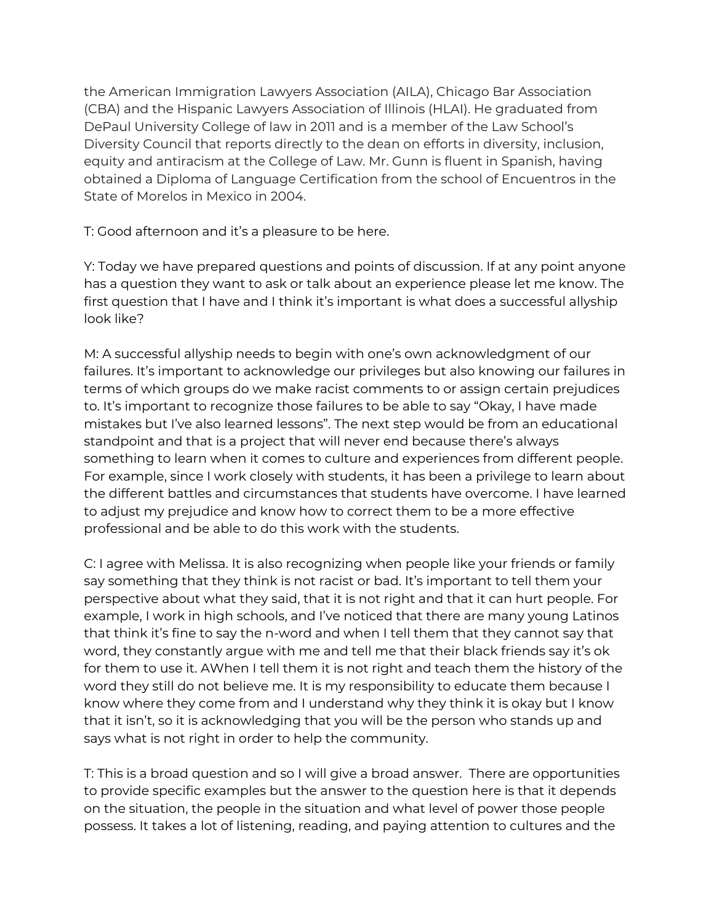the American Immigration Lawyers Association (AILA), Chicago Bar Association (CBA) and the Hispanic Lawyers Association of Illinois (HLAI). He graduated from DePaul University College of law in 2011 and is a member of the Law School's Diversity Council that reports directly to the dean on efforts in diversity, inclusion, equity and antiracism at the College of Law. Mr. Gunn is fluent in Spanish, having obtained a Diploma of Language Certification from the school of Encuentros in the State of Morelos in Mexico in 2004.

T: Good afternoon and it's a pleasure to be here.

Y: Today we have prepared questions and points of discussion. If at any point anyone has a question they want to ask or talk about an experience please let me know. The first question that I have and I think it's important is what does a successful allyship look like?

M: A successful allyship needs to begin with one's own acknowledgment of our failures. It's important to acknowledge our privileges but also knowing our failures in terms of which groups do we make racist comments to or assign certain prejudices to. It's important to recognize those failures to be able to say "Okay, I have made mistakes but I've also learned lessons". The next step would be from an educational standpoint and that is a project that will never end because there's always something to learn when it comes to culture and experiences from different people. For example, since I work closely with students, it has been a privilege to learn about the different battles and circumstances that students have overcome. I have learned to adjust my prejudice and know how to correct them to be a more effective professional and be able to do this work with the students.

C: I agree with Melissa. It is also recognizing when people like your friends or family say something that they think is not racist or bad. It's important to tell them your perspective about what they said, that it is not right and that it can hurt people. For example, I work in high schools, and I've noticed that there are many young Latinos that think it's fine to say the n-word and when I tell them that they cannot say that word, they constantly argue with me and tell me that their black friends say it's ok for them to use it. AWhen I tell them it is not right and teach them the history of the word they still do not believe me. It is my responsibility to educate them because I know where they come from and I understand why they think it is okay but I know that it isn't, so it is acknowledging that you will be the person who stands up and says what is not right in order to help the community.

T: This is a broad question and so I will give a broad answer. There are opportunities to provide specific examples but the answer to the question here is that it depends on the situation, the people in the situation and what level of power those people possess. It takes a lot of listening, reading, and paying attention to cultures and the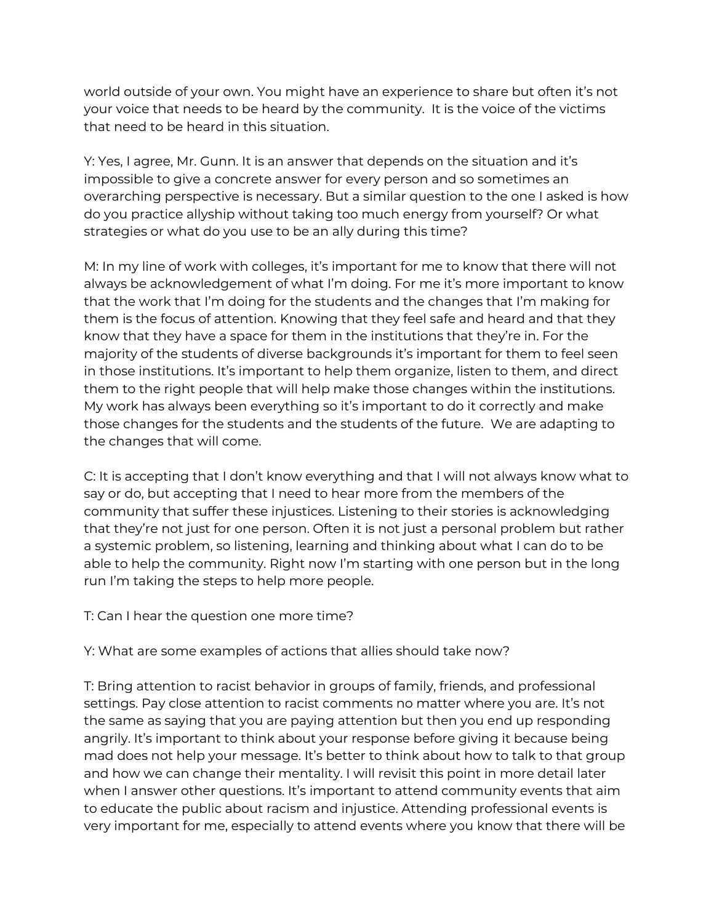world outside of your own. You might have an experience to share but often it's not your voice that needs to be heard by the community. It is the voice of the victims that need to be heard in this situation.

Y: Yes, I agree, Mr. Gunn. It is an answer that depends on the situation and it's impossible to give a concrete answer for every person and so sometimes an overarching perspective is necessary. But a similar question to the one I asked is how do you practice allyship without taking too much energy from yourself? Or what strategies or what do you use to be an ally during this time?

M: In my line of work with colleges, it's important for me to know that there will not always be acknowledgement of what I'm doing. For me it's more important to know that the work that I'm doing for the students and the changes that I'm making for them is the focus of attention. Knowing that they feel safe and heard and that they know that they have a space for them in the institutions that they're in. For the majority of the students of diverse backgrounds it's important for them to feel seen in those institutions. It's important to help them organize, listen to them, and direct them to the right people that will help make those changes within the institutions. My work has always been everything so it's important to do it correctly and make those changes for the students and the students of the future. We are adapting to the changes that will come.

C: It is accepting that I don't know everything and that I will not always know what to say or do, but accepting that I need to hear more from the members of the community that suffer these injustices. Listening to their stories is acknowledging that they're not just for one person. Often it is not just a personal problem but rather a systemic problem, so listening, learning and thinking about what I can do to be able to help the community. Right now I'm starting with one person but in the long run I'm taking the steps to help more people.

T: Can I hear the question one more time?

Y: What are some examples of actions that allies should take now?

T: Bring attention to racist behavior in groups of family, friends, and professional settings. Pay close attention to racist comments no matter where you are. It's not the same as saying that you are paying attention but then you end up responding angrily. It's important to think about your response before giving it because being mad does not help your message. It's better to think about how to talk to that group and how we can change their mentality. I will revisit this point in more detail later when I answer other questions. It's important to attend community events that aim to educate the public about racism and injustice. Attending professional events is very important for me, especially to attend events where you know that there will be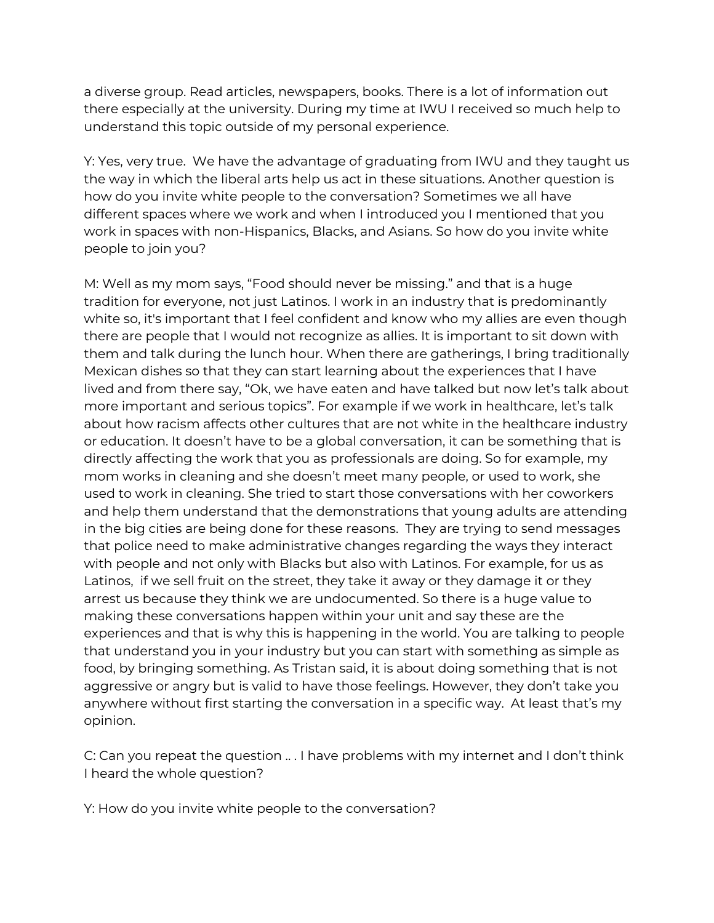a diverse group. Read articles, newspapers, books. There is a lot of information out there especially at the university. During my time at IWU I received so much help to understand this topic outside of my personal experience.

Y: Yes, very true. We have the advantage of graduating from IWU and they taught us the way in which the liberal arts help us act in these situations. Another question is how do you invite white people to the conversation? Sometimes we all have different spaces where we work and when I introduced you I mentioned that you work in spaces with non-Hispanics, Blacks, and Asians. So how do you invite white people to join you?

M: Well as my mom says, "Food should never be missing." and that is a huge tradition for everyone, not just Latinos. I work in an industry that is predominantly white so, it's important that I feel confident and know who my allies are even though there are people that I would not recognize as allies. It is important to sit down with them and talk during the lunch hour. When there are gatherings, I bring traditionally Mexican dishes so that they can start learning about the experiences that I have lived and from there say, "Ok, we have eaten and have talked but now let's talk about more important and serious topics". For example if we work in healthcare, let's talk about how racism affects other cultures that are not white in the healthcare industry or education. It doesn't have to be a global conversation, it can be something that is directly affecting the work that you as professionals are doing. So for example, my mom works in cleaning and she doesn't meet many people, or used to work, she used to work in cleaning. She tried to start those conversations with her coworkers and help them understand that the demonstrations that young adults are attending in the big cities are being done for these reasons. They are trying to send messages that police need to make administrative changes regarding the ways they interact with people and not only with Blacks but also with Latinos. For example, for us as Latinos, if we sell fruit on the street, they take it away or they damage it or they arrest us because they think we are undocumented. So there is a huge value to making these conversations happen within your unit and say these are the experiences and that is why this is happening in the world. You are talking to people that understand you in your industry but you can start with something as simple as food, by bringing something. As Tristan said, it is about doing something that is not aggressive or angry but is valid to have those feelings. However, they don't take you anywhere without first starting the conversation in a specific way. At least that's my opinion.

C: Can you repeat the question .. . I have problems with my internet and I don't think I heard the whole question?

Y: How do you invite white people to the conversation?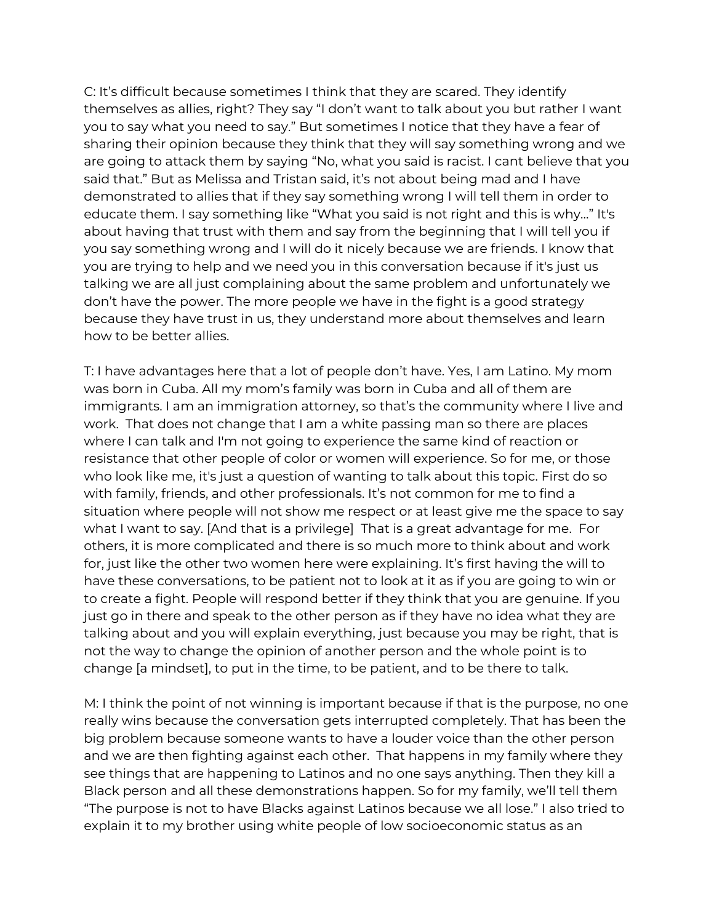C: It's difficult because sometimes I think that they are scared. They identify themselves as allies, right? They say "I don't want to talk about you but rather I want you to say what you need to say." But sometimes I notice that they have a fear of sharing their opinion because they think that they will say something wrong and we are going to attack them by saying "No, what you said is racist. I cant believe that you said that." But as Melissa and Tristan said, it's not about being mad and I have demonstrated to allies that if they say something wrong I will tell them in order to educate them. I say something like "What you said is not right and this is why…" It's about having that trust with them and say from the beginning that I will tell you if you say something wrong and I will do it nicely because we are friends. I know that you are trying to help and we need you in this conversation because if it's just us talking we are all just complaining about the same problem and unfortunately we don't have the power. The more people we have in the fight is a good strategy because they have trust in us, they understand more about themselves and learn how to be better allies.

T: I have advantages here that a lot of people don't have. Yes, I am Latino. My mom was born in Cuba. All my mom's family was born in Cuba and all of them are immigrants. I am an immigration attorney, so that's the community where I live and work. That does not change that I am a white passing man so there are places where I can talk and I'm not going to experience the same kind of reaction or resistance that other people of color or women will experience. So for me, or those who look like me, it's just a question of wanting to talk about this topic. First do so with family, friends, and other professionals. It's not common for me to find a situation where people will not show me respect or at least give me the space to say what I want to say. [And that is a privilege] That is a great advantage for me. For others, it is more complicated and there is so much more to think about and work for, just like the other two women here were explaining. It's first having the will to have these conversations, to be patient not to look at it as if you are going to win or to create a fight. People will respond better if they think that you are genuine. If you just go in there and speak to the other person as if they have no idea what they are talking about and you will explain everything, just because you may be right, that is not the way to change the opinion of another person and the whole point is to change [a mindset], to put in the time, to be patient, and to be there to talk.

M: I think the point of not winning is important because if that is the purpose, no one really wins because the conversation gets interrupted completely. That has been the big problem because someone wants to have a louder voice than the other person and we are then fighting against each other. That happens in my family where they see things that are happening to Latinos and no one says anything. Then they kill a Black person and all these demonstrations happen. So for my family, we'll tell them "The purpose is not to have Blacks against Latinos because we all lose." I also tried to explain it to my brother using white people of low socioeconomic status as an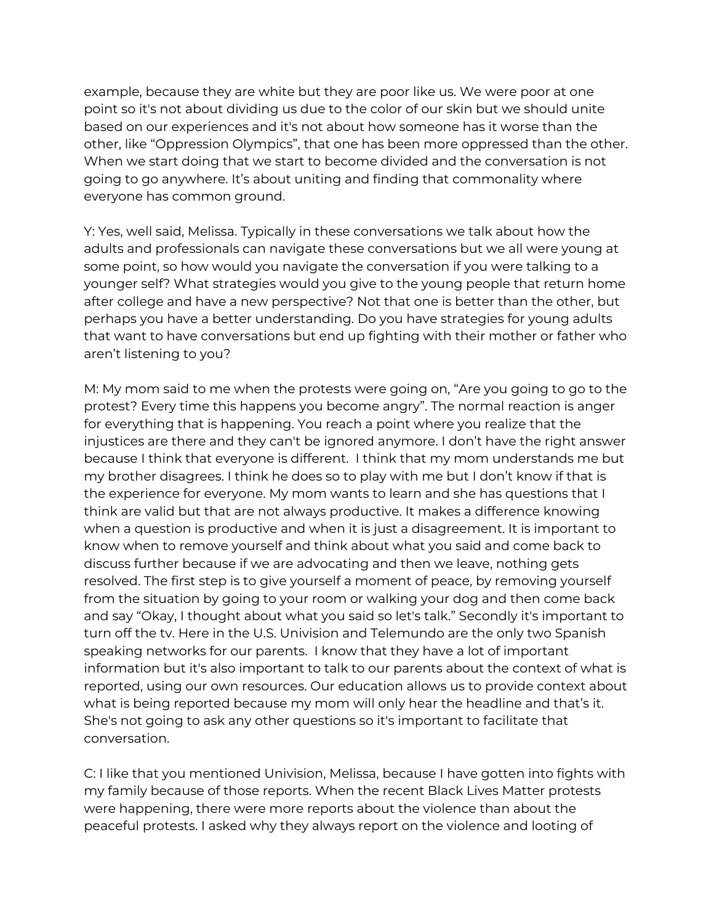example, because they are white but they are poor like us. We were poor at one point so it's not about dividing us due to the color of our skin but we should unite based on our experiences and it's not about how someone has it worse than the other, like "Oppression Olympics", that one has been more oppressed than the other. When we start doing that we start to become divided and the conversation is not going to go anywhere. It's about uniting and finding that commonality where everyone has common ground.

Y: Yes, well said, Melissa. Typically in these conversations we talk about how the adults and professionals can navigate these conversations but we all were young at some point, so how would you navigate the conversation if you were talking to a younger self? What strategies would you give to the young people that return home after college and have a new perspective? Not that one is better than the other, but perhaps you have a better understanding. Do you have strategies for young adults that want to have conversations but end up fighting with their mother or father who aren't listening to you?

M: My mom said to me when the protests were going on, "Are you going to go to the protest? Every time this happens you become angry". The normal reaction is anger for everything that is happening. You reach a point where you realize that the injustices are there and they can't be ignored anymore. I don't have the right answer because I think that everyone is different. I think that my mom understands me but my brother disagrees. I think he does so to play with me but I don't know if that is the experience for everyone. My mom wants to learn and she has questions that I think are valid but that are not always productive. It makes a difference knowing when a question is productive and when it is just a disagreement. It is important to know when to remove yourself and think about what you said and come back to discuss further because if we are advocating and then we leave, nothing gets resolved. The first step is to give yourself a moment of peace, by removing yourself from the situation by going to your room or walking your dog and then come back and say "Okay, I thought about what you said so let's talk." Secondly it's important to turn off the tv. Here in the U.S. Univision and Telemundo are the only two Spanish speaking networks for our parents. I know that they have a lot of important information but it's also important to talk to our parents about the context of what is reported, using our own resources. Our education allows us to provide context about what is being reported because my mom will only hear the headline and that's it. She's not going to ask any other questions so it's important to facilitate that conversation.

C: I like that you mentioned Univision, Melissa, because I have gotten into fights with my family because of those reports. When the recent Black Lives Matter protests were happening, there were more reports about the violence than about the peaceful protests. I asked why they always report on the violence and looting of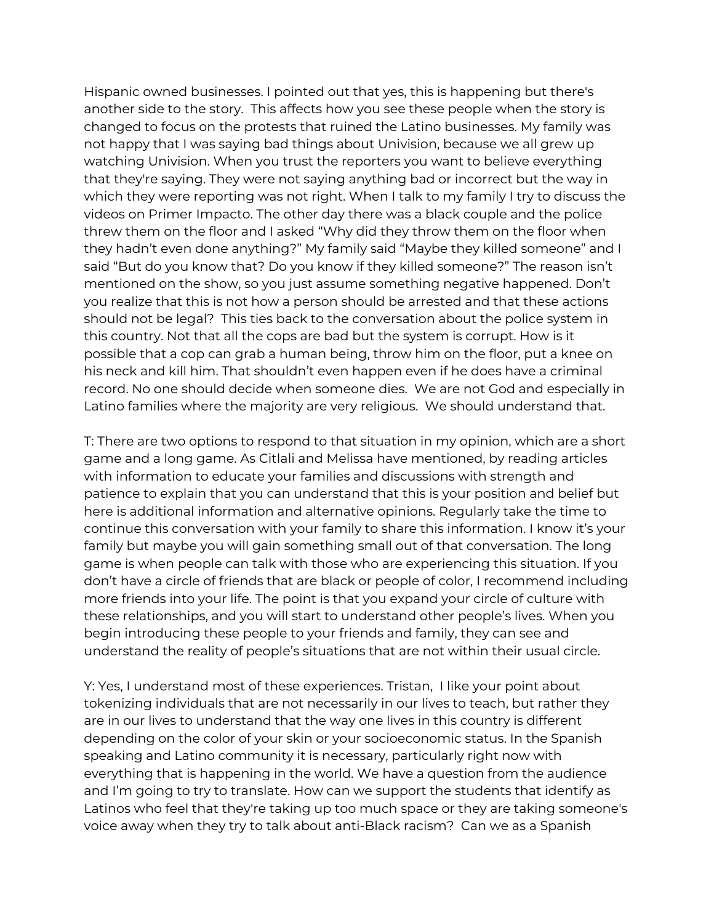Hispanic owned businesses. I pointed out that yes, this is happening but there's another side to the story. This affects how you see these people when the story is changed to focus on the protests that ruined the Latino businesses. My family was not happy that I was saying bad things about Univision, because we all grew up watching Univision. When you trust the reporters you want to believe everything that they're saying. They were not saying anything bad or incorrect but the way in which they were reporting was not right. When I talk to my family I try to discuss the videos on Primer Impacto. The other day there was a black couple and the police threw them on the floor and I asked "Why did they throw them on the floor when they hadn't even done anything?" My family said "Maybe they killed someone" and I said "But do you know that? Do you know if they killed someone?" The reason isn't mentioned on the show, so you just assume something negative happened. Don't you realize that this is not how a person should be arrested and that these actions should not be legal? This ties back to the conversation about the police system in this country. Not that all the cops are bad but the system is corrupt. How is it possible that a cop can grab a human being, throw him on the floor, put a knee on his neck and kill him. That shouldn't even happen even if he does have a criminal record. No one should decide when someone dies. We are not God and especially in Latino families where the majority are very religious. We should understand that.

T: There are two options to respond to that situation in my opinion, which are a short game and a long game. As Citlali and Melissa have mentioned, by reading articles with information to educate your families and discussions with strength and patience to explain that you can understand that this is your position and belief but here is additional information and alternative opinions. Regularly take the time to continue this conversation with your family to share this information. I know it's your family but maybe you will gain something small out of that conversation. The long game is when people can talk with those who are experiencing this situation. If you don't have a circle of friends that are black or people of color, I recommend including more friends into your life. The point is that you expand your circle of culture with these relationships, and you will start to understand other people's lives. When you begin introducing these people to your friends and family, they can see and understand the reality of people's situations that are not within their usual circle.

Y: Yes, I understand most of these experiences. Tristan, I like your point about tokenizing individuals that are not necessarily in our lives to teach, but rather they are in our lives to understand that the way one lives in this country is different depending on the color of your skin or your socioeconomic status. In the Spanish speaking and Latino community it is necessary, particularly right now with everything that is happening in the world. We have a question from the audience and I'm going to try to translate. How can we support the students that identify as Latinos who feel that they're taking up too much space or they are taking someone's voice away when they try to talk about anti-Black racism? Can we as a Spanish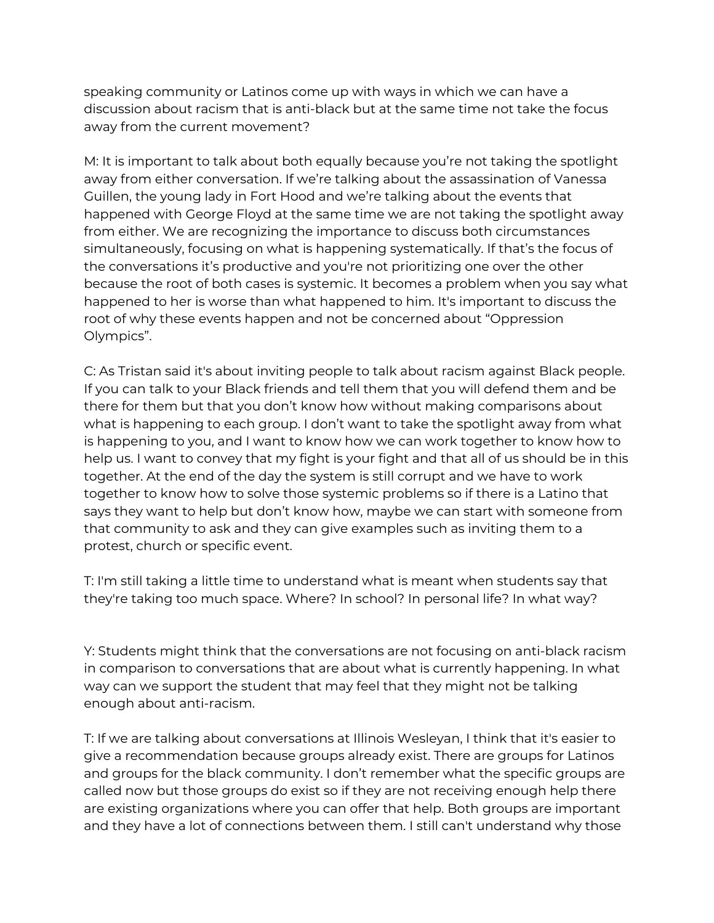speaking community or Latinos come up with ways in which we can have a discussion about racism that is anti-black but at the same time not take the focus away from the current movement?

M: It is important to talk about both equally because you're not taking the spotlight away from either conversation. If we're talking about the assassination of Vanessa Guillen, the young lady in Fort Hood and we're talking about the events that happened with George Floyd at the same time we are not taking the spotlight away from either. We are recognizing the importance to discuss both circumstances simultaneously, focusing on what is happening systematically. If that's the focus of the conversations it's productive and you're not prioritizing one over the other because the root of both cases is systemic. It becomes a problem when you say what happened to her is worse than what happened to him. It's important to discuss the root of why these events happen and not be concerned about "Oppression Olympics".

C: As Tristan said it's about inviting people to talk about racism against Black people. If you can talk to your Black friends and tell them that you will defend them and be there for them but that you don't know how without making comparisons about what is happening to each group. I don't want to take the spotlight away from what is happening to you, and I want to know how we can work together to know how to help us. I want to convey that my fight is your fight and that all of us should be in this together. At the end of the day the system is still corrupt and we have to work together to know how to solve those systemic problems so if there is a Latino that says they want to help but don't know how, maybe we can start with someone from that community to ask and they can give examples such as inviting them to a protest, church or specific event.

T: I'm still taking a little time to understand what is meant when students say that they're taking too much space. Where? In school? In personal life? In what way?

Y: Students might think that the conversations are not focusing on anti-black racism in comparison to conversations that are about what is currently happening. In what way can we support the student that may feel that they might not be talking enough about anti-racism.

T: If we are talking about conversations at Illinois Wesleyan, I think that it's easier to give a recommendation because groups already exist. There are groups for Latinos and groups for the black community. I don't remember what the specific groups are called now but those groups do exist so if they are not receiving enough help there are existing organizations where you can offer that help. Both groups are important and they have a lot of connections between them. I still can't understand why those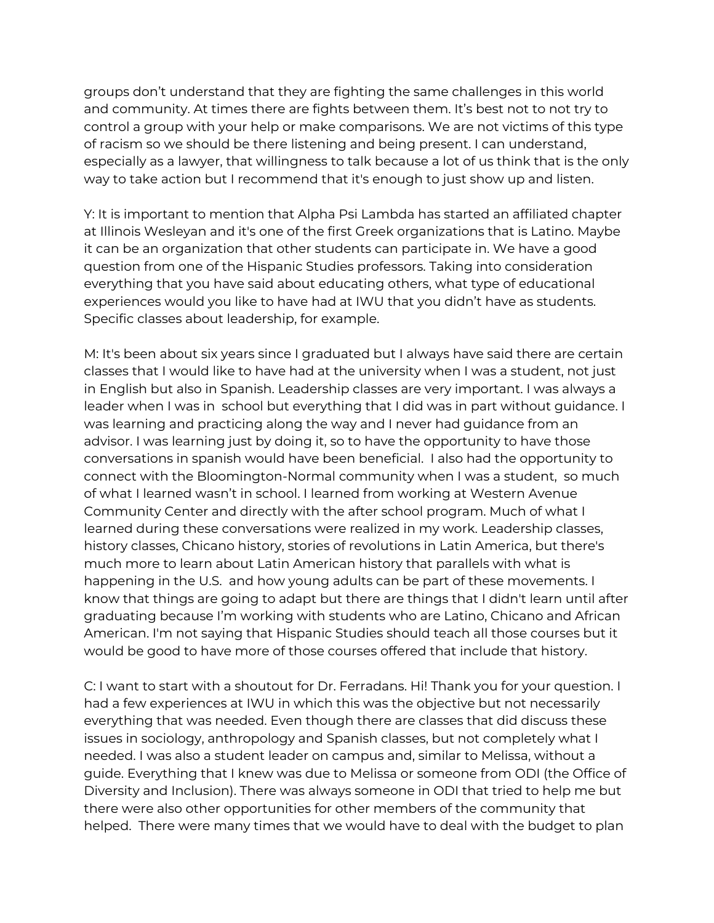groups don't understand that they are fighting the same challenges in this world and community. At times there are fights between them. It's best not to not try to control a group with your help or make comparisons. We are not victims of this type of racism so we should be there listening and being present. I can understand, especially as a lawyer, that willingness to talk because a lot of us think that is the only way to take action but I recommend that it's enough to just show up and listen.

Y: It is important to mention that Alpha Psi Lambda has started an affiliated chapter at Illinois Wesleyan and it's one of the first Greek organizations that is Latino. Maybe it can be an organization that other students can participate in. We have a good question from one of the Hispanic Studies professors. Taking into consideration everything that you have said about educating others, what type of educational experiences would you like to have had at IWU that you didn't have as students. Specific classes about leadership, for example.

M: It's been about six years since I graduated but I always have said there are certain classes that I would like to have had at the university when I was a student, not just in English but also in Spanish. Leadership classes are very important. I was always a leader when I was in school but everything that I did was in part without guidance. I was learning and practicing along the way and I never had guidance from an advisor. I was learning just by doing it, so to have the opportunity to have those conversations in spanish would have been beneficial. I also had the opportunity to connect with the Bloomington-Normal community when I was a student, so much of what I learned wasn't in school. I learned from working at Western Avenue Community Center and directly with the after school program. Much of what I learned during these conversations were realized in my work. Leadership classes, history classes, Chicano history, stories of revolutions in Latin America, but there's much more to learn about Latin American history that parallels with what is happening in the U.S. and how young adults can be part of these movements. I know that things are going to adapt but there are things that I didn't learn until after graduating because I'm working with students who are Latino, Chicano and African American. I'm not saying that Hispanic Studies should teach all those courses but it would be good to have more of those courses offered that include that history.

C: I want to start with a shoutout for Dr. Ferradans. Hi! Thank you for your question. I had a few experiences at IWU in which this was the objective but not necessarily everything that was needed. Even though there are classes that did discuss these issues in sociology, anthropology and Spanish classes, but not completely what I needed. I was also a student leader on campus and, similar to Melissa, without a guide. Everything that I knew was due to Melissa or someone from ODI (the Office of Diversity and Inclusion). There was always someone in ODI that tried to help me but there were also other opportunities for other members of the community that helped. There were many times that we would have to deal with the budget to plan